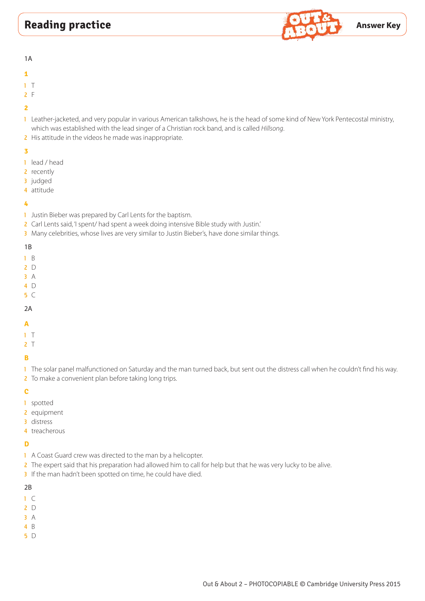

1A

- **1**
- 1 T
- 2 F
- **2**
- 1 Leather-jacketed, and very popular in various American talkshows, he is the head of some kind of New York Pentecostal ministry, which was established with the lead singer of a Christian rock band, and is called *Hillsong*.
- 2 His attitude in the videos he made was inappropriate.

# **3**

- 1 lead / head
- 2 recently
- 3 judged
- 4 attitude

# **4**

- 1 Justin Bieber was prepared by Carl Lents for the baptism.
- 2 Carl Lents said, 'I spent/ had spent a week doing intensive Bible study with Justin.'
- 3 Many celebrities, whose lives are very similar to Justin Bieber's, have done similar things.

# 1B

- 1 B
- 2 D
- 3 A
- 4 D
- 5 C

# 2A

- **A**
- 1 T
- 

# 2 T

# **B**

1 The solar panel malfunctioned on Saturday and the man turned back, but sent out the distress call when he couldn't find his way. 2 To make a convenient plan before taking long trips.

# **C**

- 1 spotted
- 2 equipment
- 3 distress
- 4 treacherous

# **D**

- 1 A Coast Guard crew was directed to the man by a helicopter.
- 2 The expert said that his preparation had allowed him to call for help but that he was very lucky to be alive.
- 3 If the man hadn't been spotted on time, he could have died.

- 1 C
- 2 D
- 3 A
- 4 B
- 5 D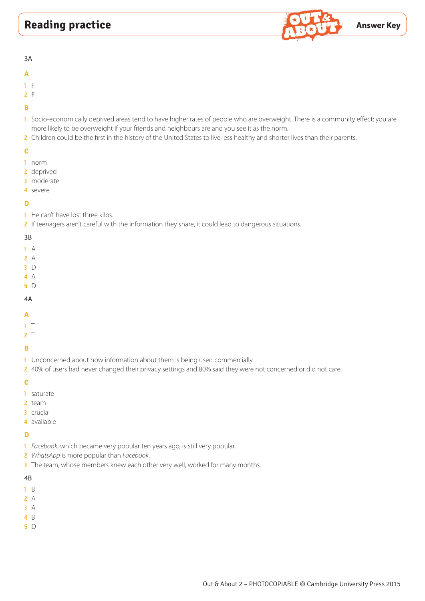

3A

#### **A**

- 1 F
- 2 F

# **B**

- 1 Socio-economically deprived areas tend to have higher rates of people who are overweight. There is a community effect: you are more likely to be overweight if your friends and neighbours are and you see it as the norm.
- 2 Children could be the first in the history of the United States to live less healthy and shorter lives than their parents.

# **C**

- 1 norm
- 2 deprived
- 3 moderate
- 4 severe

# **D**

1 He can't have lost three kilos.

2 If teenagers aren't careful with the information they share, it could lead to dangerous situations.

#### 3B

- 1 A
- 2 A
- 3 D
- 4 A
- 5 D

# 4A

- **A**
- 
- 1 T  $2<sub>1</sub>$
- 

# **B**

- 1 Unconcerned about how information about them is being used commercially.
- 2 40% of users had never changed their privacy settings and 80% said they were not concerned or did not care.

#### **C**

- 1 saturate
- 2 team
- 3 crucial
- 4 available

# **D**

- 1 *Facebook*, which became very popular ten years ago, is still very popular.
- 2 *WhatsApp* is more popular than *Facebook*.
- 3 The team, whose members knew each other very well, worked for many months.

- 1 B
- 2 A
- 3 A
- 4 B
- 5 D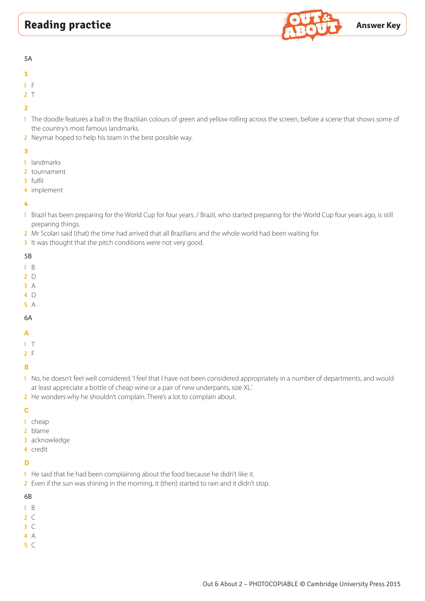

5A

- **1**
- 1 F
- $2<sub>1</sub>$

# **2**

- 1 The doodle features a ball in the Brazilian colours of green and yellow rolling across the screen, before a scene that shows some of the country's most famous landmarks.
- 2 Neymar hoped to help his team in the best possible way.

# **3**

- 1 landmarks
- 2 tournament
- 3 fulfil
- 4 implement

# **4**

- 1 Brazil has been preparing for the World Cup for four years. / Brazil, who started preparing for the World Cup four years ago, is still preparing things.
- 2 Mr Scolari said (that) the time had arrived that all Brazilians and the whole world had been waiting for.
- 3 It was thought that the pitch conditions were not very good.

# 5B

- 1 B
- 2 D
- 3 A
- 4 D
- 5 A

# 6A

**A**

# 1 T

2 F

# **B**

- 1 No, he doesn't feel well considered. 'I feel that I have not been considered appropriately in a number of departments, and would at least appreciate a bottle of cheap wine or a pair of new underpants, size XL.'
- 2 He wonders why he shouldn't complain. There's a lot to complain about.

# **C**

- 1 cheap
- 2 blame
- 3 acknowledge
- 4 credit

# **D**

- 1 He said that he had been complaining about the food because he didn't like it.
- 2 Even if the sun was shining in the morning, it (then) started to rain and it didn't stop.

- 1 B
- $2 C$
- 3 C
- 4 A
- 5 C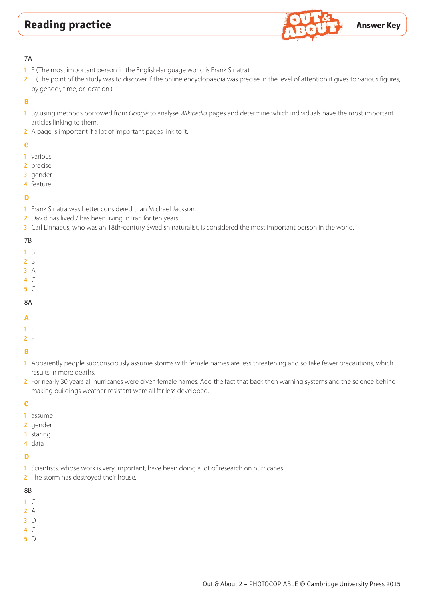

## 7A

- 1 F (The most important person in the English-language world is Frank Sinatra)
- 2 F (The point of the study was to discover if the online encyclopaedia was precise in the level of attention it gives to various figures, by gender, time, or location.)

# **B**

- 1 By using methods borrowed from *Google* to analyse *Wikipedia* pages and determine which individuals have the most important articles linking to them.
- 2 A page is important if a lot of important pages link to it.

# **C**

- 1 various
- 2 precise
- 3 gender
- 4 feature

# **D**

- 1 Frank Sinatra was better considered than Michael Jackson.
- 2 David has lived / has been living in Iran for ten years.
- 3 Carl Linnaeus, who was an 18th-century Swedish naturalist, is considered the most important person in the world.

#### 7B

- 1 B
- 2 B
- 3 A
- 4 C
- 5 C

# 8A

- 
- **A**
- 1 T
- 2 F

# **B**

- 1 Apparently people subconsciously assume storms with female names are less threatening and so take fewer precautions, which results in more deaths.
- 2 For nearly 30 years all hurricanes were given female names. Add the fact that back then warning systems and the science behind making buildings weather-resistant were all far less developed.

#### **C**

- 1 assume
- 2 gender
- 3 staring
- 4 data

# **D**

- 1 Scientists, whose work is very important, have been doing a lot of research on hurricanes.
- 2 The storm has destroyed their house.

- 1 C
- 2 A
- 3 D
- 4 C
- 5 D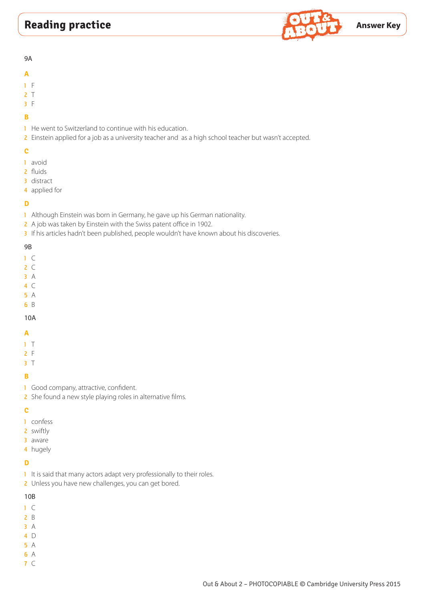

#### 9A

#### **A**

- 1 F
- 2 T
- 3 F

# **B**

- 1 He went to Switzerland to continue with his education.
- 2 Einstein applied for a job as a university teacher and as a high school teacher but wasn't accepted.

# **C**

- 1 avoid
- 2 fluids
- 3 distract
- 4 applied for

# **D**

- 1 Although Einstein was born in Germany, he gave up his German nationality.
- 2 A job was taken by Einstein with the Swiss patent office in 1902.
- 3 If his articles hadn't been published, people wouldn't have known about his discoveries.

# 9B

- 1 C
- 2 C
- 3 A
- 4 C
- 5 A
- 6 B

# 10A

# **A**

- 1 T
- 2 F
- 3 T

# **B**

- 1 Good company, attractive, confident.
- 2 She found a new style playing roles in alternative films.

# **C**

- 1 confess
- 2 swiftly
- 3 aware
- 4 hugely

# **D**

- 1 It is said that many actors adapt very professionally to their roles.
- 2 Unless you have new challenges, you can get bored.

- 1 C
- 2 B
- 3 A
- 4 D
- 5 A
- 6 A
- 7 C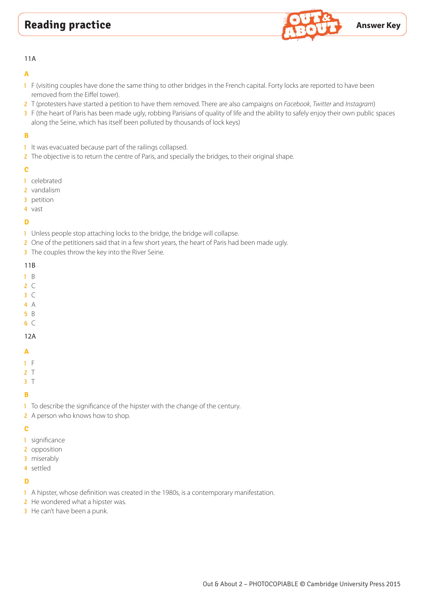

#### 11A

## **A**

- 1 F (visiting couples have done the same thing to other bridges in the French capital. Forty locks are reported to have been removed from the Eiffel tower).
- 2 T (protesters have started a petition to have them removed. There are also campaigns on *Facebook*, *Twitter* and *Instagram*)
- 3 F (the heart of Paris has been made ugly, robbing Parisians of quality of life and the ability to safely enjoy their own public spaces along the Seine, which has itself been polluted by thousands of lock keys)

# **B**

- 1 It was evacuated because part of the railings collapsed.
- 2 The objective is to return the centre of Paris, and specially the bridges, to their original shape.

#### **C**

- 1 celebrated
- 2 vandalism
- 3 petition
- 4 vast

#### **D**

- 1 Unless people stop attaching locks to the bridge, the bridge will collapse.
- 2 One of the petitioners said that in a few short years, the heart of Paris had been made ugly.
- 3 The couples throw the key into the River Seine.

#### 11B

- 1 B
- $2^{\circ}$
- 3 C
- 4 A
- 5 B
- 6 C

#### 12A

#### **A**

- 1 F
- $2<sub>1</sub>$
- 3 T

# **B**

- 1 To describe the significance of the hipster with the change of the century.
- 2 A person who knows how to shop.

#### **C**

- 1 significance
- 2 opposition
- 3 miserably
- 4 settled

# **D**

- 1 A hipster, whose definition was created in the 1980s, is a contemporary manifestation.
- 2 He wondered what a hipster was.
- **3** He can't have been a punk.